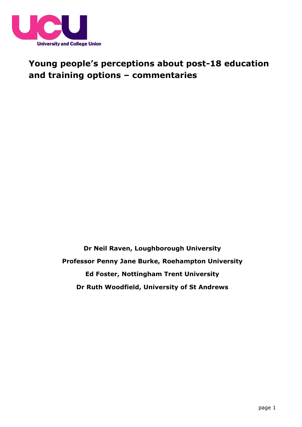

# **Young people's perceptions about post-18 education and training options – commentaries**

**Dr Neil Raven, Loughborough University Professor Penny Jane Burke, Roehampton University Ed Foster, Nottingham Trent University Dr Ruth Woodfield, University of St Andrews**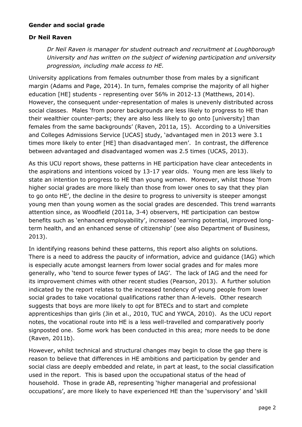#### **Gender and social grade**

#### **Dr Neil Raven**

*Dr Neil Raven is manager for student outreach and recruitment at Loughborough University and has written on the subject of widening participation and university progression, including male access to HE.* 

University applications from females outnumber those from males by a significant margin (Adams and Page, 2014). In turn, females comprise the majority of all higher education [HE] students - representing over 56% in 2012-13 (Matthews, 2014). However, the consequent under-representation of males is unevenly distributed across social classes. Males 'from poorer backgrounds are less likely to progress to HE than their wealthier counter-parts; they are also less likely to go onto [university] than females from the same backgrounds' (Raven, 2011a, 15). According to a Universities and Colleges Admissions Service [UCAS] study, 'advantaged men in 2013 were 3.1 times more likely to enter [HE] than disadvantaged men'. In contrast, the difference between advantaged and disadvantaged women was 2.5 times (UCAS, 2013).

As this UCU report shows, these patterns in HE participation have clear antecedents in the aspirations and intentions voiced by 13-17 year olds. Young men are less likely to state an intention to progress to HE than young women. Moreover, whilst those 'from higher social grades are more likely than those from lower ones to say that they plan to go onto HE', the decline in the desire to progress to university is steeper amongst young men than young women as the social grades are descended. This trend warrants attention since, as Woodfield (2011a, 3-4) observers, HE participation can bestow benefits such as 'enhanced employability', increased 'earning potential, improved longterm health, and an enhanced sense of citizenship' (see also Department of Business, 2013).

In identifying reasons behind these patterns, this report also alights on solutions. There is a need to address the paucity of information, advice and guidance (IAG) which is especially acute amongst learners from lower social grades and for males more generally, who 'tend to source fewer types of IAG'. The lack of IAG and the need for its improvement chimes with other recent studies (Pearson, 2013). A further solution indicated by the report relates to the increased tendency of young people from lower social grades to take vocational qualifications rather than A-levels. Other research suggests that boys are more likely to opt for BTECs and to start and complete apprenticeships than girls (Jin et al., 2010, TUC and YWCA, 2010). As the UCU report notes, the vocational route into HE is a less well-travelled and comparatively poorly signposted one. Some work has been conducted in this area; more needs to be done (Raven, 2011b).

However, whilst technical and structural changes may begin to close the gap there is reason to believe that differences in HE ambitions and participation by gender and social class are deeply embedded and relate, in part at least, to the social classification used in the report. This is based upon the occupational status of the head of household. Those in grade AB, representing 'higher managerial and professional occupations', are more likely to have experienced HE than the 'supervisory' and 'skill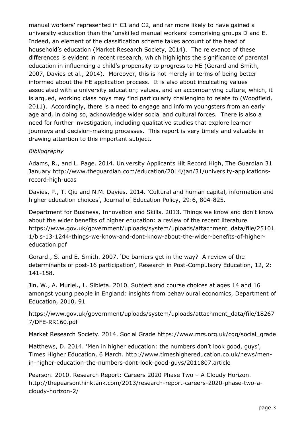manual workers' represented in C1 and C2, and far more likely to have gained a university education than the 'unskilled manual workers' comprising groups D and E. Indeed, an element of the classification scheme takes account of the head of household's education (Market Research Society, 2014). The relevance of these differences is evident in recent research, which highlights the significance of parental education in influencing a child's propensity to progress to HE (Gorard and Smith, 2007, Davies et al., 2014). Moreover, this is not merely in terms of being better informed about the HE application process. It is also about inculcating values associated with a university education; values, and an accompanying culture, which, it is argued, working class boys may find particularly challenging to relate to (Woodfield, 2011). Accordingly, there is a need to engage and inform youngsters from an early age and, in doing so, acknowledge wider social and cultural forces. There is also a need for further investigation, including qualitative studies that explore learner journeys and decision-making processes. This report is very timely and valuable in drawing attention to this important subject.

# *Bibliography*

Adams, R., and L. Page. 2014. University Applicants Hit Record High, The Guardian 31 January http://www.theguardian.com/education/2014/jan/31/university-applicationsrecord-high-ucas

Davies, P., T. Qiu and N.M. Davies. 2014. 'Cultural and human capital, information and higher education choices', Journal of Education Policy, 29:6, 804-825.

Department for Business, Innovation and Skills. 2013. Things we know and don't know about the wider benefits of higher education: a review of the recent literature https://www.gov.uk/government/uploads/system/uploads/attachment\_data/file/25101 1/bis-13-1244-things-we-know-and-dont-know-about-the-wider-benefits-of-highereducation.pdf

Gorard., S. and E. Smith. 2007. 'Do barriers get in the way? A review of the determinants of post-16 participation', Research in Post-Compulsory Education, 12, 2: 141-158.

Jin, W., A. Muriel., L. Sibieta. 2010. Subject and course choices at ages 14 and 16 amongst young people in England: insights from behavioural economics, Department of Education, 2010, 91

https://www.gov.uk/government/uploads/system/uploads/attachment\_data/file/18267 7/DFE-RR160.pdf

Market Research Society. 2014. Social Grade https://www.mrs.org.uk/cgg/social\_grade

Matthews, D. 2014. 'Men in higher education: the numbers don't look good, guys', Times Higher Education, 6 March. http://www.timeshighereducation.co.uk/news/menin-higher-education-the-numbers-dont-look-good-guys/2011807.article

Pearson. 2010. Research Report: Careers 2020 Phase Two – A Cloudy Horizon. http://thepearsonthinktank.com/2013/research-report-careers-2020-phase-two-acloudy-horizon-2/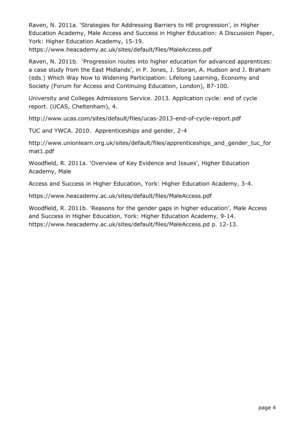Raven, N. 2011a. 'Strategies for Addressing Barriers to HE progression', in Higher Education Academy, Male Access and Success in Higher Education: A Discussion Paper, York: Higher Education Academy, 15-19.

https://www.heacademy.ac.uk/sites/default/files/MaleAccess.pdf

Raven, N. 2011b. 'Progression routes into higher education for advanced apprentices: a case study from the East Midlands', in P. Jones, J. Storan, A. Hudson and J. Braham (eds.) Which Way Now to Widening Participation: Lifelong Learning, Economy and Society (Forum for Access and Continuing Education, London), 87-100.

University and Colleges Admissions Service. 2013. Application cycle: end of cycle report. (UCAS, Cheltenham), 4.

http://www.ucas.com/sites/default/files/ucas-2013-end-of-cycle-report.pdf

TUC and YWCA. 2010. Apprenticeships and gender, 2-4

http://www.unionlearn.org.uk/sites/default/files/apprenticeships\_and\_gender\_tuc\_for mat1.pdf

Woodfield, R. 2011a. 'Overview of Key Evidence and Issues', Higher Education Academy, Male

Access and Success in Higher Education, York: Higher Education Academy, 3-4.

https://www.heacademy.ac.uk/sites/default/files/MaleAccess.pdf

Woodfield, R. 2011b. 'Reasons for the gender gaps in higher education', Male Access and Success in Higher Education, York: Higher Education Academy, 9-14. https://www.heacademy.ac.uk/sites/default/files/MaleAccess.pd p. 12-13.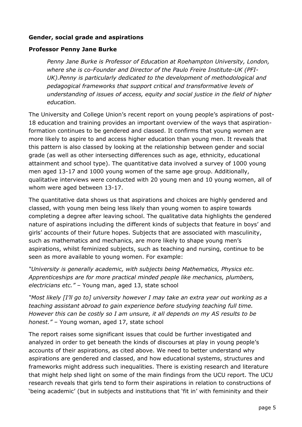### **Gender, social grade and aspirations**

#### **Professor Penny Jane Burke**

*Penny Jane Burke is Professor of Education at Roehampton University, London, where she is co-Founder and Director of the Paulo Freire Institute-UK (PFI-UK).Penny is particularly dedicated to the development of methodological and pedagogical frameworks that support critical and transformative levels of understanding of issues of access, equity and social justice in the field of higher education.*

The University and College Union's recent report on young people's aspirations of post-18 education and training provides an important overview of the ways that aspirationformation continues to be gendered and classed. It confirms that young women are more likely to aspire to and access higher education than young men. It reveals that this pattern is also classed by looking at the relationship between gender and social grade (as well as other intersecting differences such as age, ethnicity, educational attainment and school type). The quantitative data involved a survey of 1000 young men aged 13-17 and 1000 young women of the same age group. Additionally, qualitative interviews were conducted with 20 young men and 10 young women, all of whom were aged between 13-17.

The quantitative data shows us that aspirations and choices are highly gendered and classed, with young men being less likely than young women to aspire towards completing a degree after leaving school. The qualitative data highlights the gendered nature of aspirations including the different kinds of subjects that feature in boys' and girls' accounts of their future hopes. Subjects that are associated with masculinity, such as mathematics and mechanics, are more likely to shape young men's aspirations, whilst feminized subjects, such as teaching and nursing, continue to be seen as more available to young women. For example:

*"University is generally academic, with subjects being Mathematics, Physics etc. Apprenticeships are for more practical minded people like mechanics, plumbers, electricians etc."* – Young man, aged 13, state school

*"Most likely [I'll go to] university however I may take an extra year out working as a teaching assistant abroad to gain experience before studying teaching full time. However this can be costly so I am unsure, it all depends on my AS results to be honest."* – Young woman, aged 17, state school

The report raises some significant issues that could be further investigated and analyzed in order to get beneath the kinds of discourses at play in young people's accounts of their aspirations, as cited above. We need to better understand why aspirations are gendered and classed, and how educational systems, structures and frameworks might address such inequalities. There is existing research and literature that might help shed light on some of the main findings from the UCU report. The UCU research reveals that girls tend to form their aspirations in relation to constructions of 'being academic' (but in subjects and institutions that 'fit in' with femininity and their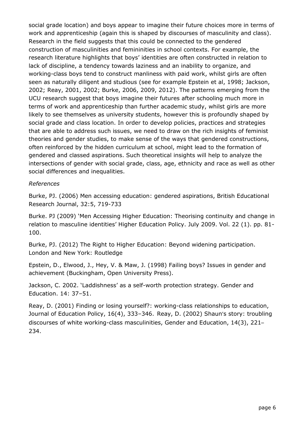social grade location) and boys appear to imagine their future choices more in terms of work and apprenticeship (again this is shaped by discourses of masculinity and class). Research in the field suggests that this could be connected to the gendered construction of masculinities and femininities in school contexts. For example, the research literature highlights that boys' identities are often constructed in relation to lack of discipline, a tendency towards laziness and an inability to organize, and working-class boys tend to construct manliness with paid work, whilst girls are often seen as naturally diligent and studious (see for example Epstein et al, 1998; Jackson, 2002; Reay, 2001, 2002; Burke, 2006, 2009, 2012). The patterns emerging from the UCU research suggest that boys imagine their futures after schooling much more in terms of work and apprenticeship than further academic study, whilst girls are more likely to see themselves as university students, however this is profoundly shaped by social grade and class location. In order to develop policies, practices and strategies that are able to address such issues, we need to draw on the rich insights of feminist theories and gender studies, to make sense of the ways that gendered constructions, often reinforced by the hidden curriculum at school, might lead to the formation of gendered and classed aspirations. Such theoretical insights will help to analyze the intersections of gender with social grade, class, age, ethnicity and race as well as other social differences and inequalities.

#### *References*

Burke, PJ. (2006) Men accessing education: gendered aspirations, British Educational Research Journal, 32:5, 719-733

Burke. PJ (2009) 'Men Accessing Higher Education: Theorising continuity and change in relation to masculine identities' Higher Education Policy. July 2009. Vol. 22 (1). pp. 81- 100.

Burke, PJ. (2012) The Right to Higher Education: Beyond widening participation. London and New York: Routledge

Epstein, D., Elwood, J., Hey, V. & Maw, J. (1998) Failing boys? Issues in gender and achievement (Buckingham, Open University Press).

Jackson, C. 2002. 'Laddishness' as a self-worth protection strategy. Gender and Education. 14: 37–51.

Reay, D. (2001) Finding or losing yourself?: working-class relationships to education, Journal of Education Policy, 16(4), 333–346. Reay, D. (2002) Shaun's story: troubling discourses of white working-class masculinities, Gender and Education, 14(3), 221– 234.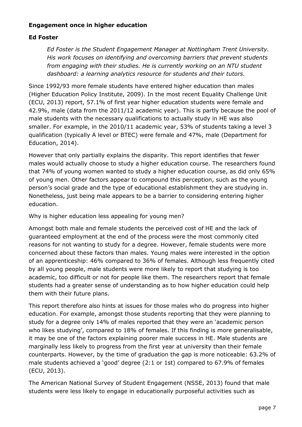#### **Engagement once in higher education**

### **Ed Foster**

*Ed Foster is the Student Engagement Manager at Nottingham Trent University. His work focuses on identifying and overcoming barriers that prevent students from engaging with their studies. He is currently working on an NTU student dashboard: a learning analytics resource for students and their tutors.*

Since 1992/93 more female students have entered higher education than males (Higher Education Policy Institute, 2009). In the most recent Equality Challenge Unit (ECU, 2013) report, 57.1% of first year higher education students were female and 42.9%, male (data from the 2011/12 academic year). This is partly because the pool of male students with the necessary qualifications to actually study in HE was also smaller. For example, in the 2010/11 academic year, 53% of students taking a level 3 qualification (typically A level or BTEC) were female and 47%, male (Department for Education, 2014).

However that only partially explains the disparity. This report identifies that fewer males would actually choose to study a higher education course. The researchers found that 74% of young women wanted to study a higher education course, as did only 65% of young men. Other factors appear to compound this perception, such as the young person's social grade and the type of educational establishment they are studying in. Nonetheless, just being male appears to be a barrier to considering entering higher education.

Why is higher education less appealing for young men?

Amongst both male and female students the perceived cost of HE and the lack of guaranteed employment at the end of the process were the most commonly cited reasons for not wanting to study for a degree. However, female students were more concerned about these factors than males. Young males were interested in the option of an apprenticeship: 46% compared to 36% of females. Although less frequently cited by all young people, male students were more likely to report that studying is too academic, too difficult or not for people like them. The researchers report that female students had a greater sense of understanding as to how higher education could help them with their future plans.

This report therefore also hints at issues for those males who do progress into higher education. For example, amongst those students reporting that they were planning to study for a degree only 14% of males reported that they were an 'academic person who likes studying', compared to 18% of females. If this finding is more generalisable, it may be one of the factors explaining poorer male success in HE. Male students are marginally less likely to progress from the first year at university than their female counterparts. However, by the time of graduation the gap is more noticeable: 63.2% of male students achieved a 'good' degree (2:1 or 1st) compared to 67.9% of females (ECU, 2013).

The American National Survey of Student Engagement (NSSE, 2013) found that male students were less likely to engage in educationally purposeful activities such as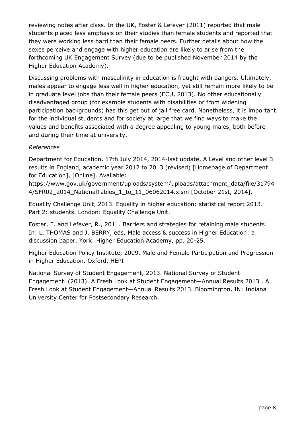reviewing notes after class. In the UK, Foster & Lefever (2011) reported that male students placed less emphasis on their studies than female students and reported that they were working less hard than their female peers. Further details about how the sexes perceive and engage with higher education are likely to arise from the forthcoming UK Engagement Survey (due to be published November 2014 by the Higher Education Academy).

Discussing problems with masculinity in education is fraught with dangers. Ultimately, males appear to engage less well in higher education, yet still remain more likely to be in graduate level jobs than their female peers (ECU, 2013). No other educationally disadvantaged group (for example students with disabilities or from widening participation backgrounds) has this get out of jail free card. Nonetheless, it is important for the individual students and for society at large that we find ways to make the values and benefits associated with a degree appealing to young males, both before and during their time at university.

# *References*

Department for Education, 17th July 2014, 2014-last update, A Level and other level 3 results in England, academic year 2012 to 2013 (revised) [Homepage of Department for Education], [Online]. Available:

https://www.gov.uk/government/uploads/system/uploads/attachment\_data/file/31794 4/SFR02\_2014\_NationalTables\_1\_to\_11\_06062014.xlsm [October 21st, 2014].

Equality Challenge Unit, 2013. Equality in higher education: statistical report 2013. Part 2: students. London: Equality Challenge Unit.

Foster, E. and Lefever, R., 2011. Barriers and strategies for retaining male students. In: L. THOMAS and J. BERRY, eds, Male access & success in Higher Education: a discussion paper. York: Higher Education Academy, pp. 20-25.

Higher Education Policy Institute, 2009. Male and Female Participation and Progression in Higher Education. Oxford. HEPI

National Survey of Student Engagement, 2013. National Survey of Student Engagement. (2013). A Fresh Look at Student Engagement—Annual Results 2013 . A Fresh Look at Student Engagement—Annual Results 2013. Bloomington, IN: Indiana University Center for Postsecondary Research.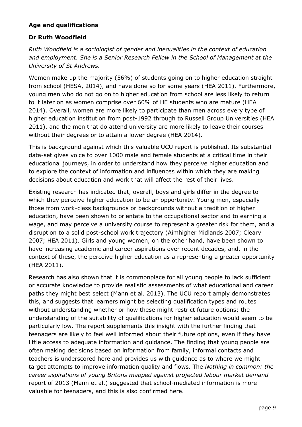# **Age and qualifications**

# **Dr Ruth Woodfield**

*Ruth Woodfield is a sociologist of gender and inequalities in the context of education and employment. She is a Senior Research Fellow in the School of Management at the University of St Andrews.* 

Women make up the majority (56%) of students going on to higher education straight from school (HESA, 2014), and have done so for some years (HEA 2011). Furthermore, young men who do not go on to higher education from school are less likely to return to it later on as women comprise over 60% of HE students who are mature (HEA 2014). Overall, women are more likely to participate than men across every type of higher education institution from post-1992 through to Russell Group Universities (HEA 2011), and the men that do attend university are more likely to leave their courses without their degrees or to attain a lower degree (HEA 2014).

This is background against which this valuable UCU report is published. Its substantial data-set gives voice to over 1000 male and female students at a critical time in their educational journeys, in order to understand how they perceive higher education and to explore the context of information and influences within which they are making decisions about education and work that will affect the rest of their lives.

Existing research has indicated that, overall, boys and girls differ in the degree to which they perceive higher education to be an opportunity. Young men, especially those from work-class backgrounds or backgrounds without a tradition of higher education, have been shown to orientate to the occupational sector and to earning a wage, and may perceive a university course to represent a greater risk for them, and a disruption to a solid post-school work trajectory (Aimhigher Midlands 2007; Cleary 2007; HEA 2011). Girls and young women, on the other hand, have been shown to have increasing academic and career aspirations over recent decades, and, in the context of these, the perceive higher education as a representing a greater opportunity (HEA 2011).

Research has also shown that it is commonplace for all young people to lack sufficient or accurate knowledge to provide realistic assessments of what educational and career paths they might best select (Mann et al. 2013). The UCU report amply demonstrates this, and suggests that learners might be selecting qualification types and routes without understanding whether or how these might restrict future options; the understanding of the suitability of qualifications for higher education would seem to be particularly low. The report supplements this insight with the further finding that teenagers are likely to feel well informed about their future options, even if they have little access to adequate information and guidance. The finding that young people are often making decisions based on information from family, informal contacts and teachers is underscored here and provides us with guidance as to where we might target attempts to improve information quality and flows. The *Nothing in common: the career aspirations of young Britons mapped against projected labour market demand* report of 2013 (Mann et al.) suggested that school-mediated information is more valuable for teenagers, and this is also confirmed here.